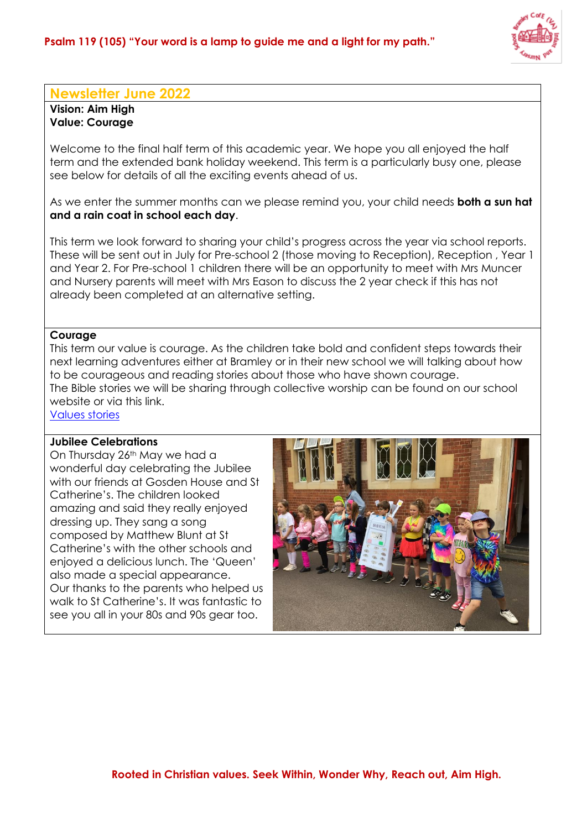

## **Newsletter June 2022**

**Vision: Aim High Value: Courage**

Welcome to the final half term of this academic year. We hope you all enjoyed the half term and the extended bank holiday weekend. This term is a particularly busy one, please see below for details of all the exciting events ahead of us.

As we enter the summer months can we please remind you, your child needs **both a sun hat and a rain coat in school each day**.

This term we look forward to sharing your child's progress across the year via school reports. These will be sent out in July for Pre-school 2 (those moving to Reception), Reception , Year 1 and Year 2. For Pre-school 1 children there will be an opportunity to meet with Mrs Muncer and Nursery parents will meet with Mrs Eason to discuss the 2 year check if this has not already been completed at an alternative setting.

## **Courage**

This term our value is courage. As the children take bold and confident steps towards their next learning adventures either at Bramley or in their new school we will talking about how to be courageous and reading stories about those who have shown courage. The Bible stories we will be sharing through collective worship can be found on our school website or via this link.

[Values stories](https://www.bramley.surrey.sch.uk/page/?title=Our+Christian+Vision+and+Values&pid=24)

## **Jubilee Celebrations**

On Thursday 26<sup>th</sup> May we had a wonderful day celebrating the Jubilee with our friends at Gosden House and St Catherine's. The children looked amazing and said they really enjoyed dressing up. They sang a song composed by Matthew Blunt at St Catherine's with the other schools and enjoyed a delicious lunch. The 'Queen' also made a special appearance. Our thanks to the parents who helped us walk to St Catherine's. It was fantastic to see you all in your 80s and 90s gear too.